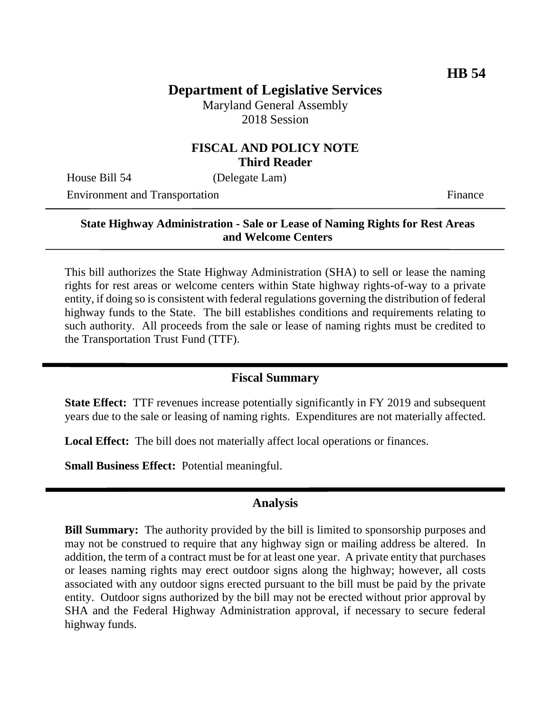# **Department of Legislative Services**

Maryland General Assembly 2018 Session

### **FISCAL AND POLICY NOTE Third Reader**

House Bill 54 (Delegate Lam)

Environment and Transportation Finance

#### **State Highway Administration - Sale or Lease of Naming Rights for Rest Areas and Welcome Centers**

This bill authorizes the State Highway Administration (SHA) to sell or lease the naming rights for rest areas or welcome centers within State highway rights-of-way to a private entity, if doing so is consistent with federal regulations governing the distribution of federal highway funds to the State. The bill establishes conditions and requirements relating to such authority. All proceeds from the sale or lease of naming rights must be credited to the Transportation Trust Fund (TTF).

### **Fiscal Summary**

**State Effect:** TTF revenues increase potentially significantly in FY 2019 and subsequent years due to the sale or leasing of naming rights. Expenditures are not materially affected.

**Local Effect:** The bill does not materially affect local operations or finances.

**Small Business Effect:** Potential meaningful.

#### **Analysis**

**Bill Summary:** The authority provided by the bill is limited to sponsorship purposes and may not be construed to require that any highway sign or mailing address be altered. In addition, the term of a contract must be for at least one year. A private entity that purchases or leases naming rights may erect outdoor signs along the highway; however, all costs associated with any outdoor signs erected pursuant to the bill must be paid by the private entity. Outdoor signs authorized by the bill may not be erected without prior approval by SHA and the Federal Highway Administration approval, if necessary to secure federal highway funds.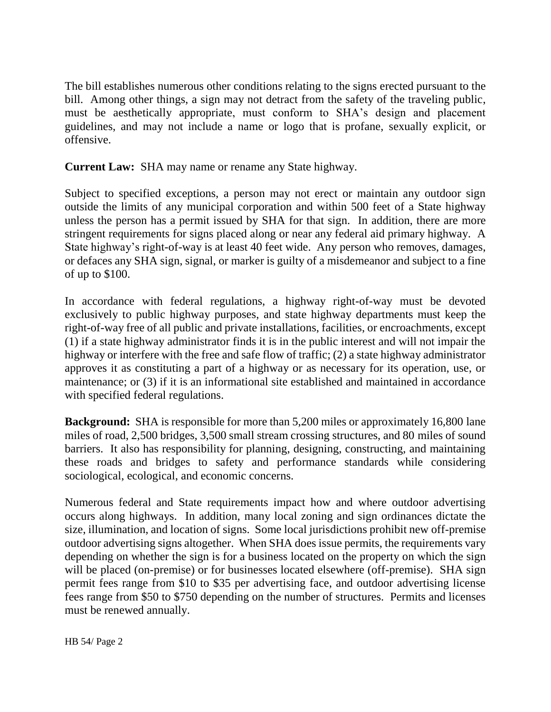The bill establishes numerous other conditions relating to the signs erected pursuant to the bill. Among other things, a sign may not detract from the safety of the traveling public, must be aesthetically appropriate, must conform to SHA's design and placement guidelines, and may not include a name or logo that is profane, sexually explicit, or offensive.

**Current Law:** SHA may name or rename any State highway.

Subject to specified exceptions, a person may not erect or maintain any outdoor sign outside the limits of any municipal corporation and within 500 feet of a State highway unless the person has a permit issued by SHA for that sign. In addition, there are more stringent requirements for signs placed along or near any federal aid primary highway. A State highway's right-of-way is at least 40 feet wide. Any person who removes, damages, or defaces any SHA sign, signal, or marker is guilty of a misdemeanor and subject to a fine of up to \$100.

In accordance with federal regulations, a highway right-of-way must be devoted exclusively to public highway purposes, and state highway departments must keep the right-of-way free of all public and private installations, facilities, or encroachments, except (1) if a state highway administrator finds it is in the public interest and will not impair the highway or interfere with the free and safe flow of traffic; (2) a state highway administrator approves it as constituting a part of a highway or as necessary for its operation, use, or maintenance; or (3) if it is an informational site established and maintained in accordance with specified federal regulations.

**Background:** SHA is responsible for more than 5,200 miles or approximately 16,800 lane miles of road, 2,500 bridges, 3,500 small stream crossing structures, and 80 miles of sound barriers. It also has responsibility for planning, designing, constructing, and maintaining these roads and bridges to safety and performance standards while considering sociological, ecological, and economic concerns.

Numerous federal and State requirements impact how and where outdoor advertising occurs along highways. In addition, many local zoning and sign ordinances dictate the size, illumination, and location of signs. Some local jurisdictions prohibit new off-premise outdoor advertising signs altogether. When SHA does issue permits, the requirements vary depending on whether the sign is for a business located on the property on which the sign will be placed (on-premise) or for businesses located elsewhere (off-premise). SHA sign permit fees range from \$10 to \$35 per advertising face, and outdoor advertising license fees range from \$50 to \$750 depending on the number of structures. Permits and licenses must be renewed annually.